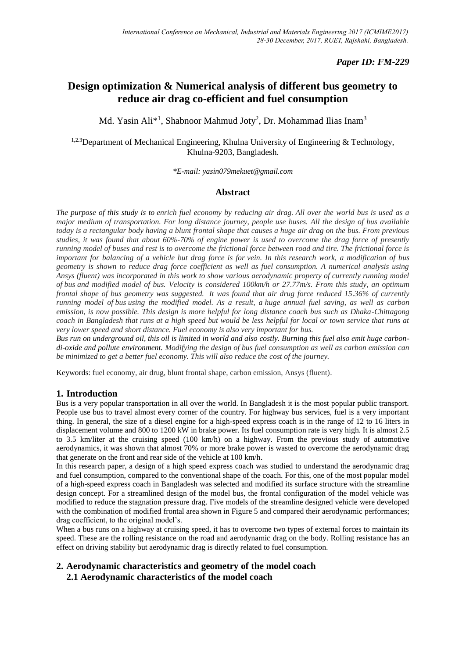# *Paper ID: FM-229*

# **Design optimization & Numerical analysis of different bus geometry to reduce air drag co-efficient and fuel consumption**

Md. Yasin Ali<sup>\*1</sup>, Shabnoor Mahmud Joty<sup>2</sup>, Dr. Mohammad Ilias Inam<sup>3</sup>

<sup>1,2,3</sup>Department of Mechanical Engineering, Khulna University of Engineering & Technology, Khulna-9203, Bangladesh.

*\*E-mail: yasin079mekuet@gmail.com*

# **Abstract**

*The purpose of this study is to enrich fuel economy by reducing air drag. All over the world bus is used as a major medium of transportation. For long distance journey, people use buses. All the design of bus available today is a rectangular body having a blunt frontal shape that causes a huge air drag on the bus. From previous studies, it was found that about 60%-70% of engine power is used to overcome the drag force of presently running model of buses and rest is to overcome the frictional force between road and tire. The frictional force is important for balancing of a vehicle but drag force is for vein. In this research work, a modification of bus geometry is shown to reduce drag force coefficient as well as fuel consumption. A numerical analysis using Ansys (fluent) was incorporated in this work to show various aerodynamic property of currently running model of bus and modified model of bus. Velocity is considered 100km/h or 27.77m/s. From this study, an optimum frontal shape of bus geometry was suggested. It was found that air drug force reduced 15.36% of currently running model of bus using the modified model. As a result, a huge annual fuel saving, as well as carbon emission, is now possible. This design is more helpful for long distance coach bus such as Dhaka-Chittagong coach in Bangladesh that runs at a high speed but would be less helpful for local or town service that runs at very lower speed and short distance. Fuel economy is also very important for bus.* 

*Bus run on underground oil, this oil is limited in world and also costly. Burning this fuel also emit huge carbondi-oxide and pollute environment. Modifying the design of bus fuel consumption as well as carbon emission can be minimized to get a better fuel economy. This will also reduce the cost of the journey.*

Keywords: fuel economy, air drug, blunt frontal shape, carbon emission, Ansys (fluent).

## **1. Introduction**

Bus is a very popular transportation in all over the world. In Bangladesh it is the most popular public transport. People use bus to travel almost every corner of the country. For highway bus services, fuel is a very important thing. In general, the size of a diesel engine for a high-speed express coach is in the range of 12 to 16 liters in displacement volume and 800 to 1200 kW in brake power. Its fuel consumption rate is very high. It is almost 2.5 to 3.5 km/liter at the cruising speed (100 km/h) on a highway. From the previous study of automotive aerodynamics, it was shown that almost 70% or more brake power is wasted to overcome the aerodynamic drag that generate on the front and rear side of the vehicle at 100 km/h.

In this research paper, a design of a high speed express coach was studied to understand the aerodynamic drag and fuel consumption, compared to the conventional shape of the coach. For this, one of the most popular model of a high-speed express coach in Bangladesh was selected and modified its surface structure with the streamline design concept. For a streamlined design of the model bus, the frontal configuration of the model vehicle was modified to reduce the stagnation pressure drag. Five models of the streamline designed vehicle were developed with the combination of modified frontal area shown in Figure 5 and compared their aerodynamic performances; drag coefficient, to the original model's.

When a bus runs on a highway at cruising speed, it has to overcome two types of external forces to maintain its speed. These are the rolling resistance on the road and aerodynamic drag on the body. Rolling resistance has an effect on driving stability but aerodynamic drag is directly related to fuel consumption.

# **2. Aerodynamic characteristics and geometry of the model coach 2.1 Aerodynamic characteristics of the model coach**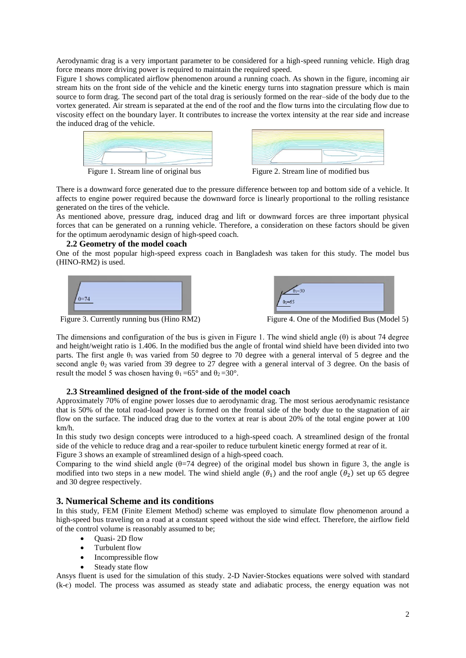Aerodynamic drag is a very important parameter to be considered for a high-speed running vehicle. High drag force means more driving power is required to maintain the required speed.

Figure 1 shows complicated airflow phenomenon around a running coach. As shown in the figure, incoming air stream hits on the front side of the vehicle and the kinetic energy turns into stagnation pressure which is main source to form drag. The second part of the total drag is seriously formed on the rear–side of the body due to the vortex generated. Air stream is separated at the end of the roof and the flow turns into the circulating flow due to viscosity effect on the boundary layer. It contributes to increase the vortex intensity at the rear side and increase the induced drag of the vehicle.







There is a downward force generated due to the pressure difference between top and bottom side of a vehicle. It affects to engine power required because the downward force is linearly proportional to the rolling resistance generated on the tires of the vehicle.

As mentioned above, pressure drag, induced drag and lift or downward forces are three important physical forces that can be generated on a running vehicle. Therefore, a consideration on these factors should be given for the optimum aerodynamic design of high-speed coach.

#### **2.2 Geometry of the model coach**

One of the most popular high-speed express coach in Bangladesh was taken for this study. The model bus (HINO-RM2) is used.





Figure 3. Currently running bus (Hino RM2) Figure 4. One of the Modified Bus (Model 5)

The dimensions and configuration of the bus is given in Figure 1. The wind shield angle (θ) is about 74 degree and height/weight ratio is 1.406. In the modified bus the angle of frontal wind shield have been divided into two parts. The first angle  $\theta_1$  was varied from 50 degree to 70 degree with a general interval of 5 degree and the second angle  $\theta_2$  was varied from 39 degree to 27 degree with a general interval of 3 degree. On the basis of result the model 5 was chosen having  $\theta_1 = 65^\circ$  and  $\theta_2 = 30^\circ$ .

## **2.3 Streamlined designed of the front-side of the model coach**

Approximately 70% of engine power losses due to aerodynamic drag. The most serious aerodynamic resistance that is 50% of the total road-load power is formed on the frontal side of the body due to the stagnation of air flow on the surface. The induced drag due to the vortex at rear is about 20% of the total engine power at 100 km/h.

In this study two design concepts were introduced to a high-speed coach. A streamlined design of the frontal side of the vehicle to reduce drag and a rear-spoiler to reduce turbulent kinetic energy formed at rear of it. Figure 3 shows an example of streamlined design of a high-speed coach.

Comparing to the wind shield angle  $(\theta=74 \text{ degree})$  of the original model bus shown in figure 3, the angle is modified into two steps in a new model. The wind shield angle  $(\theta_1)$  and the roof angle  $(\theta_2)$  set up 65 degree and 30 degree respectively.

## **3. Numerical Scheme and its conditions**

In this study, FEM (Finite Element Method) scheme was employed to simulate flow phenomenon around a high-speed bus traveling on a road at a constant speed without the side wind effect. Therefore, the airflow field of the control volume is reasonably assumed to be;

- Quasi- 2D flow
- Turbulent flow
- Incompressible flow
- Steady state flow

Ansys fluent is used for the simulation of this study. 2-D Navier-Stockes equations were solved with standard (k-є) model. The process was assumed as steady state and adiabatic process, the energy equation was not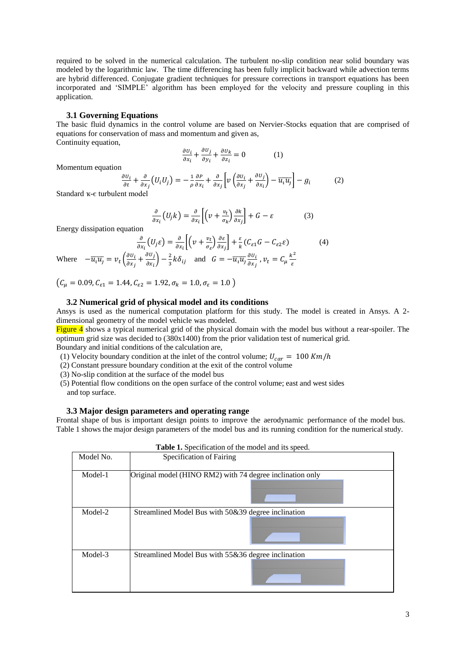required to be solved in the numerical calculation. The turbulent no-slip condition near solid boundary was modeled by the logarithmic law. The time differencing has been fully implicit backward while advection terms are hybrid differenced. Conjugate gradient techniques for pressure corrections in transport equations has been incorporated and 'SIMPLE' algorithm has been employed for the velocity and pressure coupling in this application.

#### **3.1 Governing Equations**

 $\epsilon$ 

The basic fluid dynamics in the control volume are based on Nervier-Stocks equation that are comprised of equations for conservation of mass and momentum and given as, Continuity equation,

$$
\frac{\partial u_i}{\partial x_i} + \frac{\partial u_j}{\partial y_i} + \frac{\partial u_k}{\partial z_i} = 0 \tag{1}
$$

Momentum equation

$$
\frac{\partial U_i}{\partial t} + \frac{\partial}{\partial x_j} (U_i U_j) = -\frac{1}{\rho} \frac{\partial P}{\partial x_i} + \frac{\partial}{\partial x_j} \left[ \nu \left( \frac{\partial U_i}{\partial x_j} + \frac{\partial U_j}{\partial x_i} \right) - \overline{u_i u_j} \right] - g_i \tag{2}
$$

Standard ҡ-є turbulent model

$$
\frac{\partial}{\partial x_i} (U_j k) = \frac{\partial}{\partial x_i} \left[ \left( \nu + \frac{v_t}{\sigma_k} \right) \frac{\partial k}{\partial x_j} \right] + G - \varepsilon \tag{3}
$$

Energy dissipation equation

$$
\frac{\partial}{\partial x_i} (U_j \varepsilon) = \frac{\partial}{\partial x_i} \left[ \left( \nu + \frac{\nu_t}{\sigma_{\varepsilon}} \right) \frac{\partial \varepsilon}{\partial x_j} \right] + \frac{\varepsilon}{k} (C_{\varepsilon 1} G - C_{\varepsilon 2} \varepsilon) \tag{4}
$$
\n
$$
\text{Where } -\overline{u_i u_j} = \nu_t \left( \frac{\partial u_i}{\partial x_j} + \frac{\partial u_j}{\partial x_i} \right) - \frac{2}{3} k \delta_{ij} \quad \text{and} \quad G = -\overline{u_i u_j} \frac{\partial u_i}{\partial x_j}, \quad \nu_t = C_\mu \frac{k^2}{\varepsilon}
$$

 $(C_{\mu} = 0.09, C_{\varepsilon 1} = 1.44, C_{\varepsilon 2} = 1.92, \sigma_{k} = 1.0, \sigma_{\varepsilon} = 1.0)$ 

#### **3.2 Numerical grid of physical model and its conditions**

Ansys is used as the numerical computation platform for this study. The model is created in Ansys. A 2 dimensional geometry of the model vehicle was modeled.

Figure 4 shows a typical numerical grid of the physical domain with the model bus without a rear-spoiler. The optimum grid size was decided to (380x1400) from the prior validation test of numerical grid.

Boundary and initial conditions of the calculation are,

(1) Velocity boundary condition at the inlet of the control volume;  $U_{car} = 100 Km/h$ 

(2) Constant pressure boundary condition at the exit of the control volume

(3) No-slip condition at the surface of the model bus

 (5) Potential flow conditions on the open surface of the control volume; east and west sides and top surface.

#### **3.3 Major design parameters and operating range**

Frontal shape of bus is important design points to improve the aerodynamic performance of the model bus. Table 1 shows the major design parameters of the model bus and its running condition for the numerical study.

| Table 1. Specification of the model and its speed. |                                                           |  |
|----------------------------------------------------|-----------------------------------------------------------|--|
| Model No.                                          | Specification of Fairing                                  |  |
|                                                    |                                                           |  |
| Model-1                                            | Original model (HINO RM2) with 74 degree inclination only |  |
|                                                    |                                                           |  |
| Model-2                                            | Streamlined Model Bus with 50&39 degree inclination       |  |
|                                                    |                                                           |  |
| Model-3                                            | Streamlined Model Bus with 55&36 degree inclination       |  |
|                                                    |                                                           |  |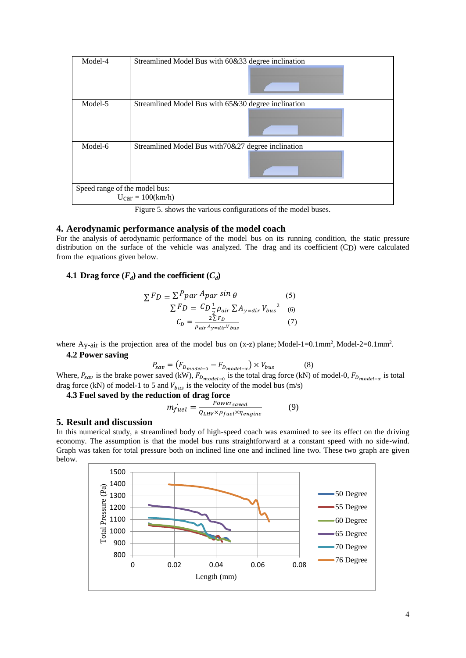| Model-4                                                       | Streamlined Model Bus with 60&33 degree inclination |  |
|---------------------------------------------------------------|-----------------------------------------------------|--|
| Model-5                                                       | Streamlined Model Bus with 65&30 degree inclination |  |
| Model-6                                                       | Streamlined Model Bus with 70&27 degree inclination |  |
| Speed range of the model bus:<br>$U_{\text{car}} = 100(km/h)$ |                                                     |  |

Figure 5. shows the various configurations of the model buses.

### **4. Aerodynamic performance analysis of the model coach**

For the analysis of aerodynamic performance of the model bus on its running condition, the static pressure distribution on the surface of the vehicle was analyzed. The drag and its coefficient (CD) were calculated from the equations given below.

# **4.1 Drag** force  $(F_d)$  and the coefficient  $(C_d)$

$$
\sum F_D = \sum P_{par} A_{par} \sin \theta
$$
 (5)  

$$
\sum F_D = C_D \frac{1}{2} \rho_{air} \sum A_{y=dir} V_{bus}^2
$$
 (6)  

$$
C_D = \frac{2 \sum F_D}{\rho_{air} A_{y=dir} V_{bus}}
$$
 (7)

where Ay-air is the projection area of the model bus on  $(x-z)$  plane; Model-1=0.1mm<sup>2</sup>, Model-2=0.1mm<sup>2</sup>. **4.2 Power saving** 

$$
P_{sav} = (F_{D_{model-0}} - F_{D_{model-x}}) \times V_{bus}
$$
 (8)

Where,  $P_{sav}$  is the brake power saved (kW),  $F_{D_{model-0}}$  is the total drag force (kN) of model-0,  $F_{D_{model-x}}$  is total drag force (kN) of model-1 to 5 and  $V_{bus}$  is the velocity of the model bus (m/s)

**4.3 Fuel saved by the reduction of drag force** 

$$
m_{fuel} = \frac{Power_{saved}}{Q_{LHV} \times \rho_{fuel} \times \eta_{engine}}
$$
(9)

### **5. Result and discussion**

In this numerical study, a streamlined body of high-speed coach was examined to see its effect on the driving economy. The assumption is that the model bus runs straightforward at a constant speed with no side-wind. Graph was taken for total pressure both on inclined line one and inclined line two. These two graph are given below.

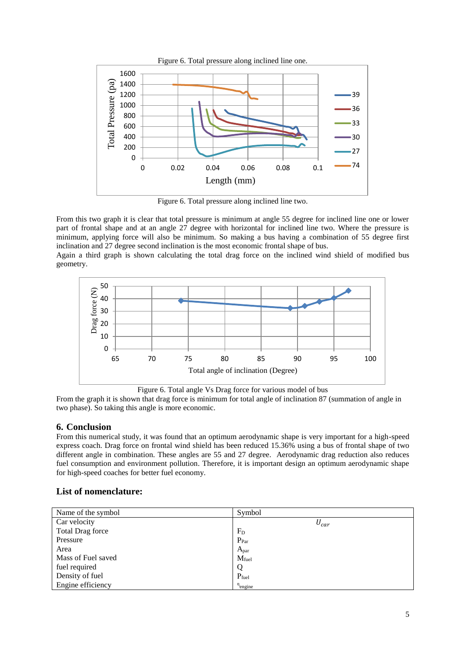

Figure 6. Total pressure along inclined line two.

From this two graph it is clear that total pressure is minimum at angle 55 degree for inclined line one or lower part of frontal shape and at an angle 27 degree with horizontal for inclined line two. Where the pressure is minimum, applying force will also be minimum. So making a bus having a combination of 55 degree first inclination and 27 degree second inclination is the most economic frontal shape of bus.

Again a third graph is shown calculating the total drag force on the inclined wind shield of modified bus geometry.



Figure 6. Total angle Vs Drag force for various model of bus

From the graph it is shown that drag force is minimum for total angle of inclination 87 (summation of angle in two phase). So taking this angle is more economic.

## **6. Conclusion**

From this numerical study, it was found that an optimum aerodynamic shape is very important for a high-speed express coach. Drag force on frontal wind shield has been reduced 15.36% using a bus of frontal shape of two different angle in combination. These angles are 55 and 27 degree. Aerodynamic drag reduction also reduces fuel consumption and environment pollution. Therefore, it is important design an optimum aerodynamic shape for high-speed coaches for better fuel economy.

## **List of nomenclature:**

| Name of the symbol      | Symbol              |
|-------------------------|---------------------|
| Car velocity            | $U_{car}$           |
| <b>Total Drag force</b> | $F_D$               |
| Pressure                | $P_{Par}$           |
| Area                    | $A_{par}$           |
| Mass of Fuel saved      | $M_{fuel}$          |
| fuel required           | Q                   |
| Density of fuel         | $P_{fuel}$          |
| Engine efficiency       | $n_{\text{engine}}$ |